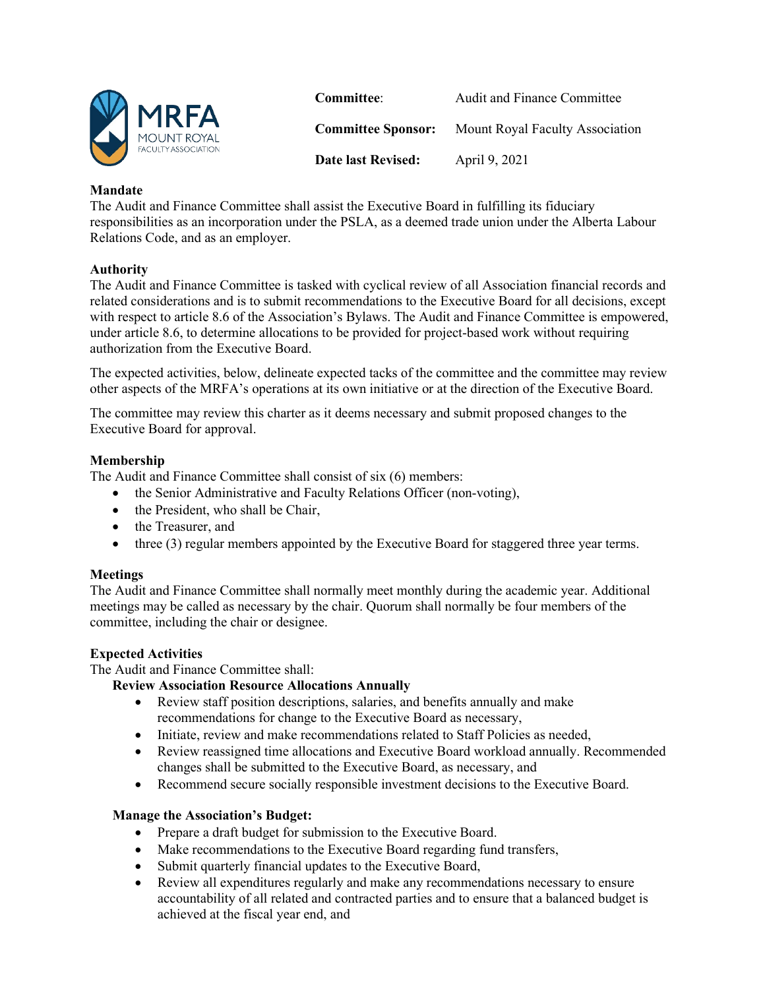

**Committee:** Audit and Finance Committee **Committee Sponsor:** Mount Royal Faculty Association **Date last Revised:** April 9, 2021

## **Mandate**

The Audit and Finance Committee shall assist the Executive Board in fulfilling its fiduciary responsibilities as an incorporation under the PSLA, as a deemed trade union under the Alberta Labour Relations Code, and as an employer.

### **Authority**

The Audit and Finance Committee is tasked with cyclical review of all Association financial records and related considerations and is to submit recommendations to the Executive Board for all decisions, except with respect to article 8.6 of the Association's Bylaws. The Audit and Finance Committee is empowered, under article 8.6, to determine allocations to be provided for project-based work without requiring authorization from the Executive Board.

The expected activities, below, delineate expected tacks of the committee and the committee may review other aspects of the MRFA's operations at its own initiative or at the direction of the Executive Board.

The committee may review this charter as it deems necessary and submit proposed changes to the Executive Board for approval.

# **Membership**

The Audit and Finance Committee shall consist of six (6) members:

- the Senior Administrative and Faculty Relations Officer (non-voting),
- the President, who shall be Chair,
- the Treasurer, and
- three (3) regular members appointed by the Executive Board for staggered three year terms.

### **Meetings**

The Audit and Finance Committee shall normally meet monthly during the academic year. Additional meetings may be called as necessary by the chair. Quorum shall normally be four members of the committee, including the chair or designee.

### **Expected Activities**

The Audit and Finance Committee shall:

### **Review Association Resource Allocations Annually**

- Review staff position descriptions, salaries, and benefits annually and make recommendations for change to the Executive Board as necessary,
- Initiate, review and make recommendations related to Staff Policies as needed,
- Review reassigned time allocations and Executive Board workload annually. Recommended changes shall be submitted to the Executive Board, as necessary, and
- Recommend secure socially responsible investment decisions to the Executive Board.

### **Manage the Association's Budget:**

- Prepare a draft budget for submission to the Executive Board.
- Make recommendations to the Executive Board regarding fund transfers,
- Submit quarterly financial updates to the Executive Board,
- Review all expenditures regularly and make any recommendations necessary to ensure accountability of all related and contracted parties and to ensure that a balanced budget is achieved at the fiscal year end, and